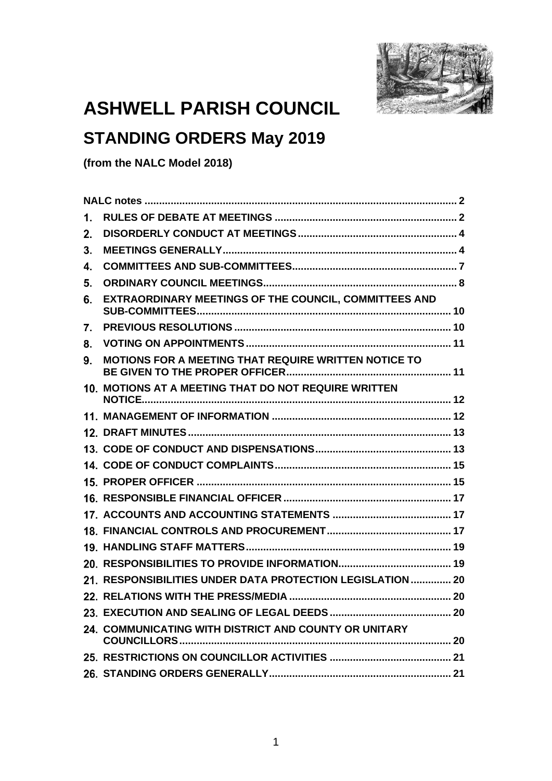

# **ASHWELL PARISH COUNCIL**

## **STANDING ORDERS May 2019**

**(from the NALC Model 2018)**

| 1. |                                                           |
|----|-----------------------------------------------------------|
| 2. |                                                           |
| 3. |                                                           |
| 4. |                                                           |
| 5. |                                                           |
| 6. | EXTRAORDINARY MEETINGS OF THE COUNCIL, COMMITTEES AND     |
| 7. |                                                           |
| 8. |                                                           |
| 9. | MOTIONS FOR A MEETING THAT REQUIRE WRITTEN NOTICE TO      |
|    | 10. MOTIONS AT A MEETING THAT DO NOT REQUIRE WRITTEN      |
|    |                                                           |
|    |                                                           |
|    |                                                           |
|    |                                                           |
|    |                                                           |
|    |                                                           |
|    |                                                           |
|    |                                                           |
|    |                                                           |
|    |                                                           |
|    | 21. RESPONSIBILITIES UNDER DATA PROTECTION LEGISLATION 20 |
|    |                                                           |
|    |                                                           |
|    | 24. COMMUNICATING WITH DISTRICT AND COUNTY OR UNITARY     |
|    |                                                           |
|    |                                                           |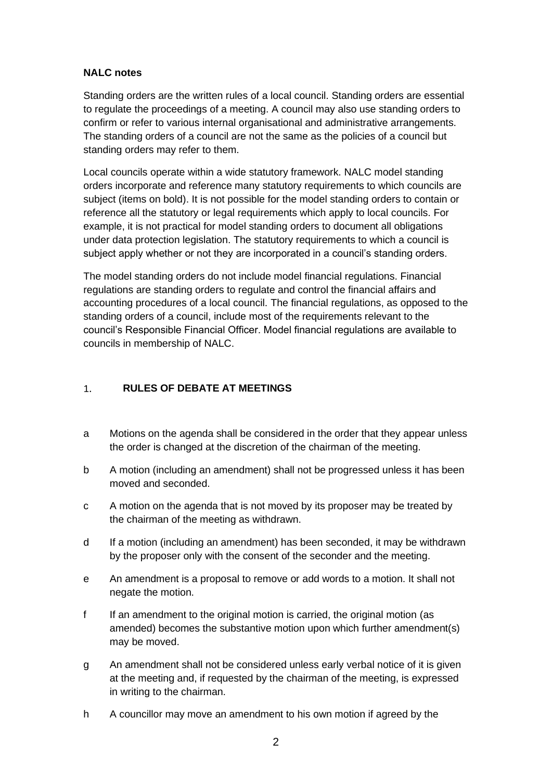### **NALC notes**

Standing orders are the written rules of a local council. Standing orders are essential to regulate the proceedings of a meeting. A council may also use standing orders to confirm or refer to various internal organisational and administrative arrangements. The standing orders of a council are not the same as the policies of a council but standing orders may refer to them.

Local councils operate within a wide statutory framework. NALC model standing orders incorporate and reference many statutory requirements to which councils are subject (items on bold). It is not possible for the model standing orders to contain or reference all the statutory or legal requirements which apply to local councils. For example, it is not practical for model standing orders to document all obligations under data protection legislation. The statutory requirements to which a council is subject apply whether or not they are incorporated in a council's standing orders.

The model standing orders do not include model financial regulations. Financial regulations are standing orders to regulate and control the financial affairs and accounting procedures of a local council. The financial regulations, as opposed to the standing orders of a council, include most of the requirements relevant to the council's Responsible Financial Officer. Model financial regulations are available to councils in membership of NALC.

#### <span id="page-1-0"></span>**RULES OF DEBATE AT MEETINGS**  $1.$

- a Motions on the agenda shall be considered in the order that they appear unless the order is changed at the discretion of the chairman of the meeting.
- b A motion (including an amendment) shall not be progressed unless it has been moved and seconded.
- c A motion on the agenda that is not moved by its proposer may be treated by the chairman of the meeting as withdrawn.
- d If a motion (including an amendment) has been seconded, it may be withdrawn by the proposer only with the consent of the seconder and the meeting.
- e An amendment is a proposal to remove or add words to a motion. It shall not negate the motion.
- f If an amendment to the original motion is carried, the original motion (as amended) becomes the substantive motion upon which further amendment(s) may be moved.
- g An amendment shall not be considered unless early verbal notice of it is given at the meeting and, if requested by the chairman of the meeting, is expressed in writing to the chairman.
- h A councillor may move an amendment to his own motion if agreed by the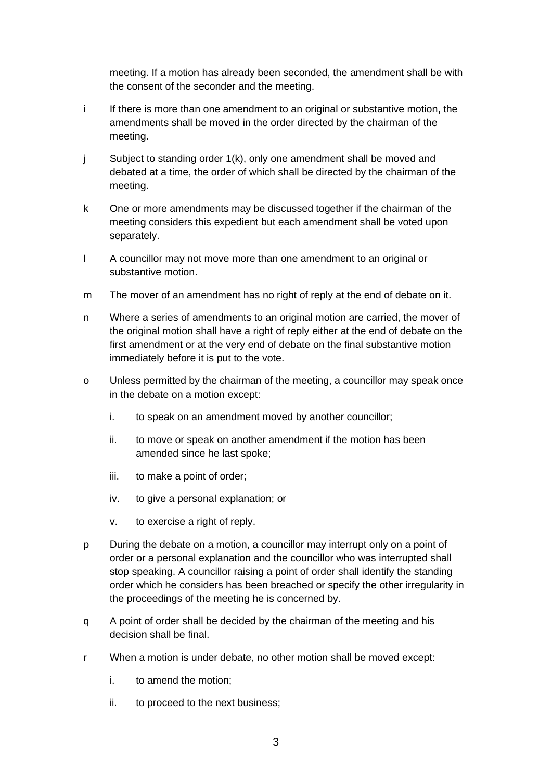meeting. If a motion has already been seconded, the amendment shall be with the consent of the seconder and the meeting.

- i If there is more than one amendment to an original or substantive motion, the amendments shall be moved in the order directed by the chairman of the meeting.
- j Subject to standing order 1(k), only one amendment shall be moved and debated at a time, the order of which shall be directed by the chairman of the meeting.
- k One or more amendments may be discussed together if the chairman of the meeting considers this expedient but each amendment shall be voted upon separately.
- l A councillor may not move more than one amendment to an original or substantive motion.
- m The mover of an amendment has no right of reply at the end of debate on it.
- n Where a series of amendments to an original motion are carried, the mover of the original motion shall have a right of reply either at the end of debate on the first amendment or at the very end of debate on the final substantive motion immediately before it is put to the vote.
- o Unless permitted by the chairman of the meeting, a councillor may speak once in the debate on a motion except:
	- i. to speak on an amendment moved by another councillor;
	- ii. to move or speak on another amendment if the motion has been amended since he last spoke;
	- iii. to make a point of order;
	- iv. to give a personal explanation; or
	- v. to exercise a right of reply.
- p During the debate on a motion, a councillor may interrupt only on a point of order or a personal explanation and the councillor who was interrupted shall stop speaking. A councillor raising a point of order shall identify the standing order which he considers has been breached or specify the other irregularity in the proceedings of the meeting he is concerned by.
- q A point of order shall be decided by the chairman of the meeting and his decision shall be final.
- r When a motion is under debate, no other motion shall be moved except:
	- i. to amend the motion;
	- ii. to proceed to the next business;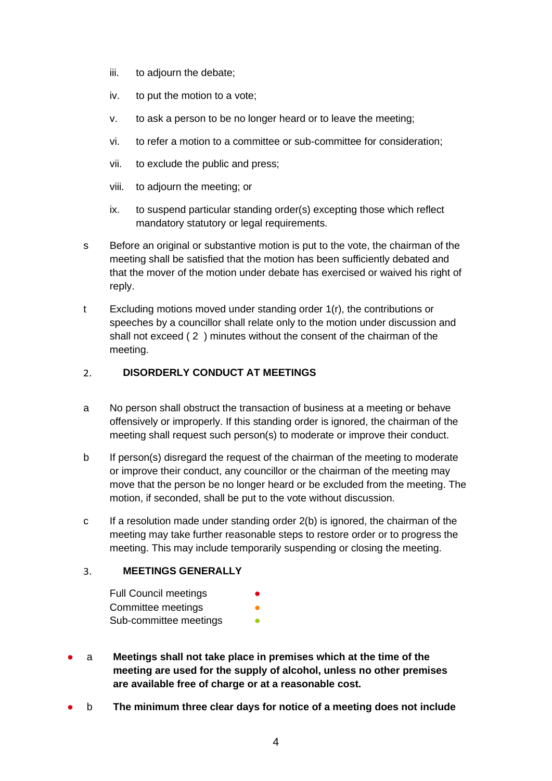- iii. to adjourn the debate;
- iv. to put the motion to a vote;
- v. to ask a person to be no longer heard or to leave the meeting;
- vi. to refer a motion to a committee or sub-committee for consideration;
- vii. to exclude the public and press;
- viii. to adjourn the meeting; or
- ix. to suspend particular standing order(s) excepting those which reflect mandatory statutory or legal requirements.
- s Before an original or substantive motion is put to the vote, the chairman of the meeting shall be satisfied that the motion has been sufficiently debated and that the mover of the motion under debate has exercised or waived his right of reply.
- t Excluding motions moved under standing order 1(r), the contributions or speeches by a councillor shall relate only to the motion under discussion and shall not exceed ( 2 ) minutes without the consent of the chairman of the meeting.

#### <span id="page-3-0"></span>**DISORDERLY CONDUCT AT MEETINGS**  $2<sup>1</sup>$

- a No person shall obstruct the transaction of business at a meeting or behave offensively or improperly. If this standing order is ignored, the chairman of the meeting shall request such person(s) to moderate or improve their conduct.
- b If person(s) disregard the request of the chairman of the meeting to moderate or improve their conduct, any councillor or the chairman of the meeting may move that the person be no longer heard or be excluded from the meeting. The motion, if seconded, shall be put to the vote without discussion.
- c If a resolution made under standing order 2(b) is ignored, the chairman of the meeting may take further reasonable steps to restore order or to progress the meeting. This may include temporarily suspending or closing the meeting.

#### <span id="page-3-1"></span> $3.$ **MEETINGS GENERALLY**

- Full Council meetings Committee meetings Sub-committee meetings **•**
- a **Meetings shall not take place in premises which at the time of the meeting are used for the supply of alcohol, unless no other premises are available free of charge or at a reasonable cost.**
- b **The minimum three clear days for notice of a meeting does not include**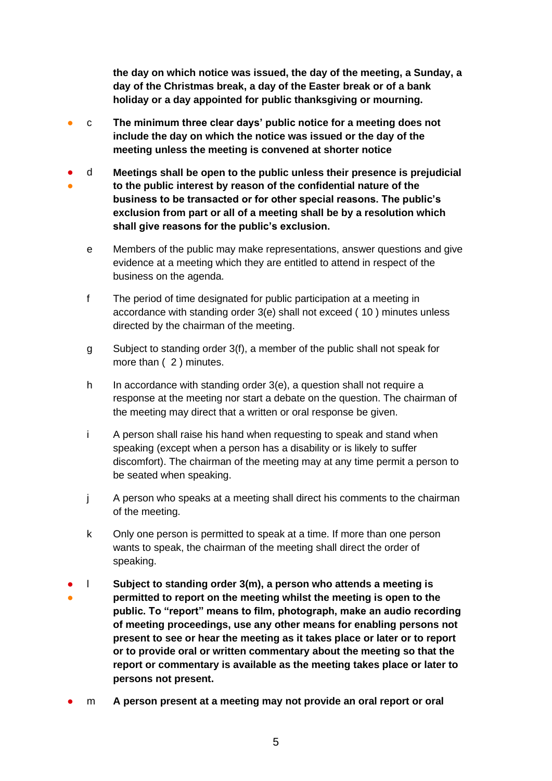**the day on which notice was issued, the day of the meeting, a Sunday, a day of the Christmas break, a day of the Easter break or of a bank holiday or a day appointed for public thanksgiving or mourning.**

- c **The minimum three clear days' public notice for a meeting does not include the day on which the notice was issued or the day of the meeting unless the meeting is convened at shorter notice**
- ● d **Meetings shall be open to the public unless their presence is prejudicial to the public interest by reason of the confidential nature of the business to be transacted or for other special reasons. The public's exclusion from part or all of a meeting shall be by a resolution which shall give reasons for the public's exclusion.**
	- e Members of the public may make representations, answer questions and give evidence at a meeting which they are entitled to attend in respect of the business on the agenda.
	- f The period of time designated for public participation at a meeting in accordance with standing order 3(e) shall not exceed ( 10 ) minutes unless directed by the chairman of the meeting.
	- g Subject to standing order 3(f), a member of the public shall not speak for more than (2) minutes.
	- h In accordance with standing order 3(e), a question shall not require a response at the meeting nor start a debate on the question. The chairman of the meeting may direct that a written or oral response be given.
	- i A person shall raise his hand when requesting to speak and stand when speaking (except when a person has a disability or is likely to suffer discomfort). The chairman of the meeting may at any time permit a person to be seated when speaking.
	- j A person who speaks at a meeting shall direct his comments to the chairman of the meeting.
	- k Only one person is permitted to speak at a time. If more than one person wants to speak, the chairman of the meeting shall direct the order of speaking.
- l **Subject to standing order 3(m), a person who attends a meeting is**
- **permitted to report on the meeting whilst the meeting is open to the public. To "report" means to film, photograph, make an audio recording of meeting proceedings, use any other means for enabling persons not present to see or hear the meeting as it takes place or later or to report or to provide oral or written commentary about the meeting so that the report or commentary is available as the meeting takes place or later to persons not present.**
- m **A person present at a meeting may not provide an oral report or oral**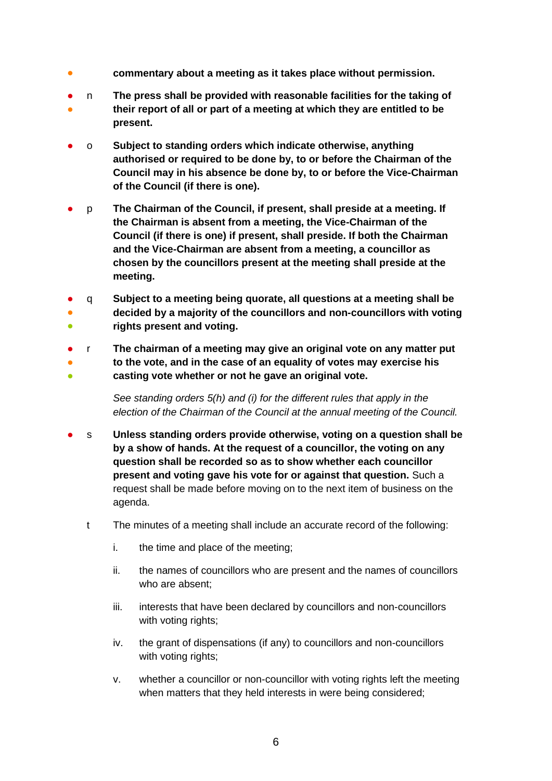- **commentary about a meeting as it takes place without permission.**
- n **The press shall be provided with reasonable facilities for the taking of**
- **their report of all or part of a meeting at which they are entitled to be present.**
- o **Subject to standing orders which indicate otherwise, anything authorised or required to be done by, to or before the Chairman of the Council may in his absence be done by, to or before the Vice-Chairman of the Council (if there is one).**
- p **The Chairman of the Council, if present, shall preside at a meeting. If the Chairman is absent from a meeting, the Vice-Chairman of the Council (if there is one) if present, shall preside. If both the Chairman and the Vice-Chairman are absent from a meeting, a councillor as chosen by the councillors present at the meeting shall preside at the meeting.**
- ● ● q **Subject to a meeting being quorate, all questions at a meeting shall be decided by a majority of the councillors and non-councillors with voting rights present and voting.**
- ● r **The chairman of a meeting may give an original vote on any matter put to the vote, and in the case of an equality of votes may exercise his**
- **casting vote whether or not he gave an original vote.**

*See standing orders 5(h) and (i) for the different rules that apply in the election of the Chairman of the Council at the annual meeting of the Council.*

- s **Unless standing orders provide otherwise, voting on a question shall be by a show of hands. At the request of a councillor, the voting on any question shall be recorded so as to show whether each councillor present and voting gave his vote for or against that question.** Such a request shall be made before moving on to the next item of business on the agenda.
	- t The minutes of a meeting shall include an accurate record of the following:
		- i. the time and place of the meeting;
		- ii. the names of councillors who are present and the names of councillors who are absent;
		- iii. interests that have been declared by councillors and non-councillors with voting rights;
		- iv. the grant of dispensations (if any) to councillors and non-councillors with voting rights:
		- v. whether a councillor or non-councillor with voting rights left the meeting when matters that they held interests in were being considered;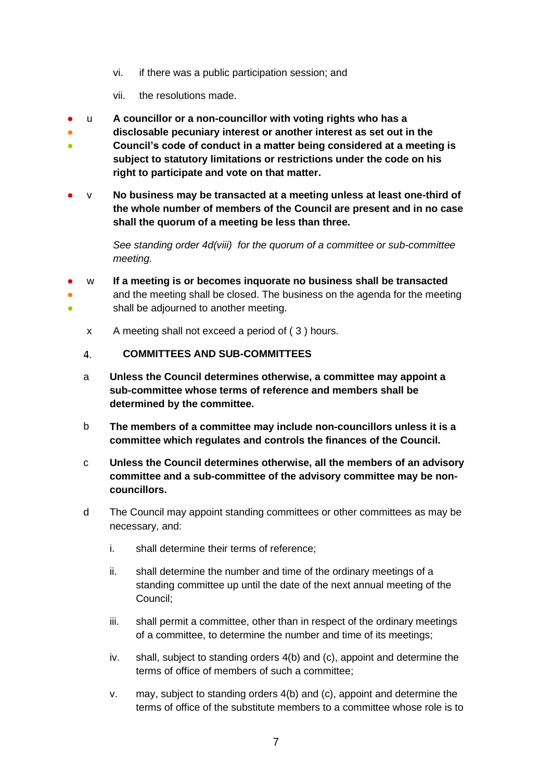- vi. if there was a public participation session; and
- vii. the resolutions made.
- u **A councillor or a non-councillor with voting rights who has a**
- **disclosable pecuniary interest or another interest as set out in the**
- **Council's code of conduct in a matter being considered at a meeting is subject to statutory limitations or restrictions under the code on his right to participate and vote on that matter.**
- v **No business may be transacted at a meeting unless at least one-third of the whole number of members of the Council are present and in no case shall the quorum of a meeting be less than three.**

*See standing order 4d(viii) for the quorum of a committee or sub-committee meeting.* 

- w **If a meeting is or becomes inquorate no business shall be transacted**
- <span id="page-6-0"></span>● 。<br>● and the meeting shall be closed. The business on the agenda for the meeting shall be adjourned to another meeting.
	- x A meeting shall not exceed a period of ( 3 ) hours.
	- **COMMITTEES AND SUB-COMMITTEES**  $\overline{4}$ .
	- a **Unless the Council determines otherwise, a committee may appoint a sub-committee whose terms of reference and members shall be determined by the committee.**
	- b **The members of a committee may include non-councillors unless it is a committee which regulates and controls the finances of the Council.**
	- c **Unless the Council determines otherwise, all the members of an advisory committee and a sub-committee of the advisory committee may be noncouncillors.**
	- d The Council may appoint standing committees or other committees as may be necessary, and:
		- i. shall determine their terms of reference;
		- ii. shall determine the number and time of the ordinary meetings of a standing committee up until the date of the next annual meeting of the Council;
		- iii. shall permit a committee, other than in respect of the ordinary meetings of a committee, to determine the number and time of its meetings;
		- iv. shall, subject to standing orders 4(b) and (c), appoint and determine the terms of office of members of such a committee;
		- v. may, subject to standing orders 4(b) and (c), appoint and determine the terms of office of the substitute members to a committee whose role is to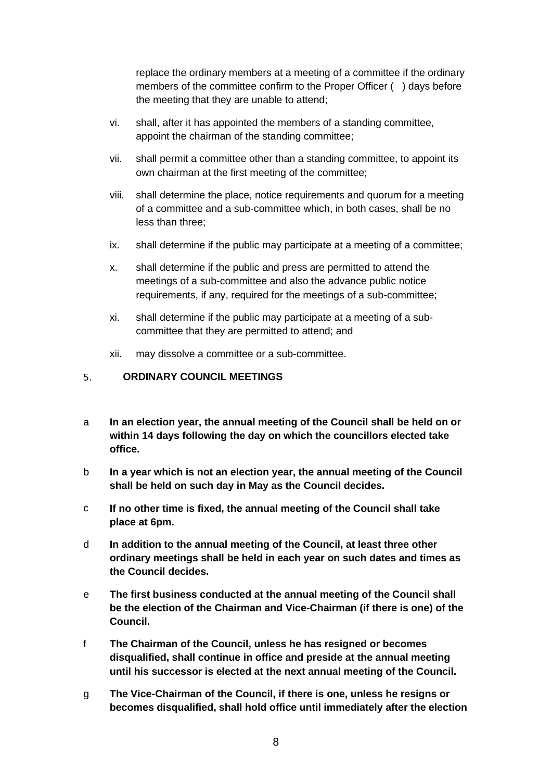replace the ordinary members at a meeting of a committee if the ordinary members of the committee confirm to the Proper Officer () days before the meeting that they are unable to attend;

- vi. shall, after it has appointed the members of a standing committee, appoint the chairman of the standing committee;
- vii. shall permit a committee other than a standing committee, to appoint its own chairman at the first meeting of the committee;
- viii. shall determine the place, notice requirements and quorum for a meeting of a committee and a sub-committee which, in both cases, shall be no less than three;
- ix. shall determine if the public may participate at a meeting of a committee;
- x. shall determine if the public and press are permitted to attend the meetings of a sub-committee and also the advance public notice requirements, if any, required for the meetings of a sub-committee;
- xi. shall determine if the public may participate at a meeting of a subcommittee that they are permitted to attend; and
- xii. may dissolve a committee or a sub-committee.

#### <span id="page-7-0"></span>5. **ORDINARY COUNCIL MEETINGS**

- a **In an election year, the annual meeting of the Council shall be held on or within 14 days following the day on which the councillors elected take office.**
- b **In a year which is not an election year, the annual meeting of the Council shall be held on such day in May as the Council decides.**
- c **If no other time is fixed, the annual meeting of the Council shall take place at 6pm.**
- d **In addition to the annual meeting of the Council, at least three other ordinary meetings shall be held in each year on such dates and times as the Council decides.**
- e **The first business conducted at the annual meeting of the Council shall be the election of the Chairman and Vice-Chairman (if there is one) of the Council.**
- f **The Chairman of the Council, unless he has resigned or becomes disqualified, shall continue in office and preside at the annual meeting until his successor is elected at the next annual meeting of the Council.**
- g **The Vice-Chairman of the Council, if there is one, unless he resigns or becomes disqualified, shall hold office until immediately after the election**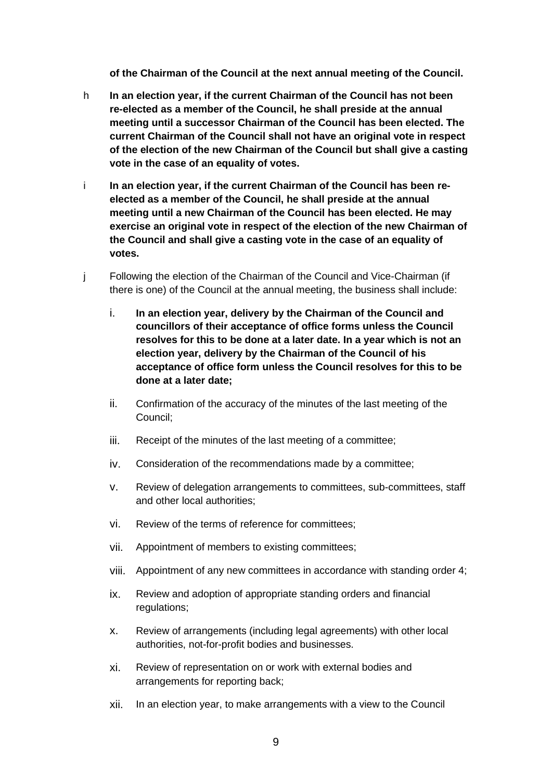**of the Chairman of the Council at the next annual meeting of the Council.**

- h **In an election year, if the current Chairman of the Council has not been re-elected as a member of the Council, he shall preside at the annual meeting until a successor Chairman of the Council has been elected. The current Chairman of the Council shall not have an original vote in respect of the election of the new Chairman of the Council but shall give a casting vote in the case of an equality of votes.**
- i **In an election year, if the current Chairman of the Council has been reelected as a member of the Council, he shall preside at the annual meeting until a new Chairman of the Council has been elected. He may exercise an original vote in respect of the election of the new Chairman of the Council and shall give a casting vote in the case of an equality of votes.**
- j Following the election of the Chairman of the Council and Vice-Chairman (if there is one) of the Council at the annual meeting, the business shall include:
	- i. **In an election year, delivery by the Chairman of the Council and councillors of their acceptance of office forms unless the Council resolves for this to be done at a later date. In a year which is not an election year, delivery by the Chairman of the Council of his acceptance of office form unless the Council resolves for this to be done at a later date;**
	- ii. Confirmation of the accuracy of the minutes of the last meeting of the Council;
	- iii. Receipt of the minutes of the last meeting of a committee;
	- iv. Consideration of the recommendations made by a committee;
	- v. Review of delegation arrangements to committees, sub-committees, staff and other local authorities;
	- vi. Review of the terms of reference for committees;
	- vii. Appointment of members to existing committees;
	- viii. Appointment of any new committees in accordance with standing order 4;
	- ix. Review and adoption of appropriate standing orders and financial regulations;
	- x. Review of arrangements (including legal agreements) with other local authorities, not-for-profit bodies and businesses.
	- xi. Review of representation on or work with external bodies and arrangements for reporting back;
	- xii. In an election year, to make arrangements with a view to the Council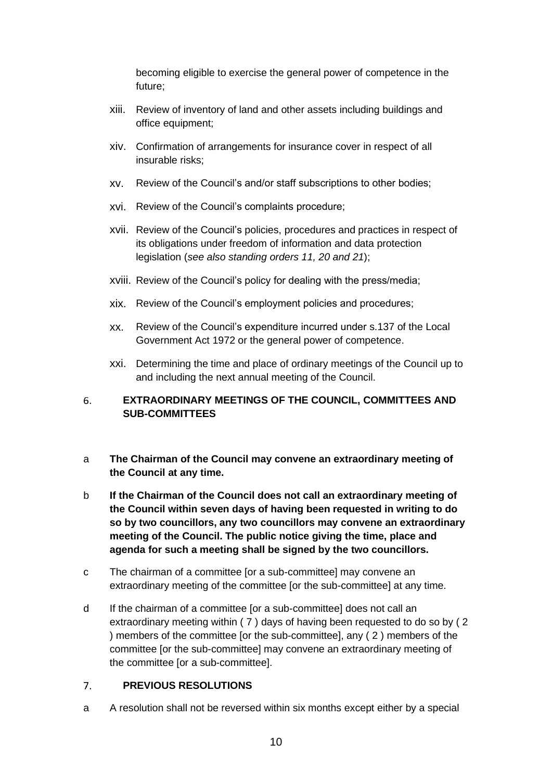becoming eligible to exercise the general power of competence in the future;

- xiii. Review of inventory of land and other assets including buildings and office equipment;
- xiv. Confirmation of arrangements for insurance cover in respect of all insurable risks;
- xv. Review of the Council's and/or staff subscriptions to other bodies;
- xvi. Review of the Council's complaints procedure;
- xvii. Review of the Council's policies, procedures and practices in respect of its obligations under freedom of information and data protection legislation (*see also standing orders 11, 20 and 21*);
- xviii. Review of the Council's policy for dealing with the press/media;
- xix. Review of the Council's employment policies and procedures;
- xx. Review of the Council's expenditure incurred under s.137 of the Local Government Act 1972 or the general power of competence.
- xxi. Determining the time and place of ordinary meetings of the Council up to and including the next annual meeting of the Council.

#### <span id="page-9-0"></span>**EXTRAORDINARY MEETINGS OF THE COUNCIL, COMMITTEES AND**  6. **SUB-COMMITTEES**

- a **The Chairman of the Council may convene an extraordinary meeting of the Council at any time.**
- b **If the Chairman of the Council does not call an extraordinary meeting of the Council within seven days of having been requested in writing to do so by two councillors, any two councillors may convene an extraordinary meeting of the Council. The public notice giving the time, place and agenda for such a meeting shall be signed by the two councillors.**
- c The chairman of a committee [or a sub-committee] may convene an extraordinary meeting of the committee [or the sub-committee] at any time.
- d If the chairman of a committee [or a sub-committee] does not call an extraordinary meeting within ( 7 ) days of having been requested to do so by ( 2 ) members of the committee [or the sub-committee], any ( 2 ) members of the committee [or the sub-committee] may convene an extraordinary meeting of the committee [or a sub-committee].

#### <span id="page-9-1"></span> $7<sup>1</sup>$ **PREVIOUS RESOLUTIONS**

a A resolution shall not be reversed within six months except either by a special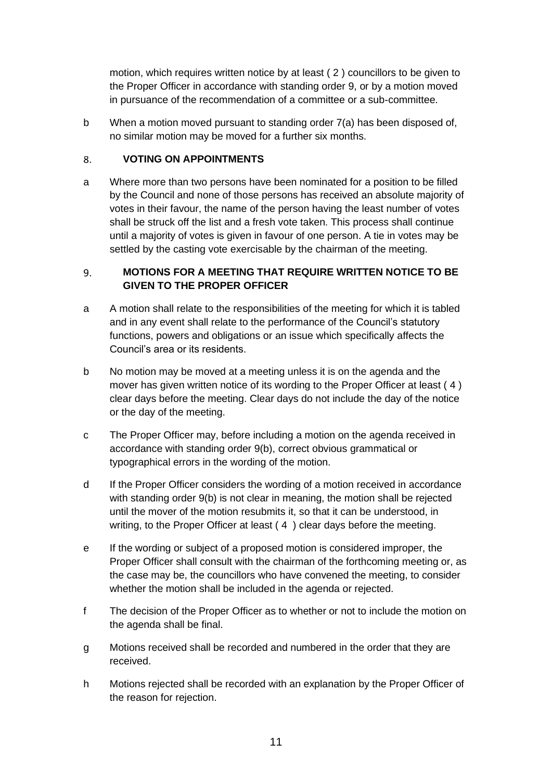motion, which requires written notice by at least ( 2 ) councillors to be given to the Proper Officer in accordance with standing order 9, or by a motion moved in pursuance of the recommendation of a committee or a sub-committee.

b When a motion moved pursuant to standing order 7(a) has been disposed of, no similar motion may be moved for a further six months.

#### <span id="page-10-0"></span>**VOTING ON APPOINTMENTS** 8.

a Where more than two persons have been nominated for a position to be filled by the Council and none of those persons has received an absolute majority of votes in their favour, the name of the person having the least number of votes shall be struck off the list and a fresh vote taken. This process shall continue until a majority of votes is given in favour of one person. A tie in votes may be settled by the casting vote exercisable by the chairman of the meeting.

#### <span id="page-10-1"></span> $9<sub>1</sub>$ **MOTIONS FOR A MEETING THAT REQUIRE WRITTEN NOTICE TO BE GIVEN TO THE PROPER OFFICER**

- a A motion shall relate to the responsibilities of the meeting for which it is tabled and in any event shall relate to the performance of the Council's statutory functions, powers and obligations or an issue which specifically affects the Council's area or its residents.
- b No motion may be moved at a meeting unless it is on the agenda and the mover has given written notice of its wording to the Proper Officer at least ( 4 ) clear days before the meeting. Clear days do not include the day of the notice or the day of the meeting.
- c The Proper Officer may, before including a motion on the agenda received in accordance with standing order 9(b), correct obvious grammatical or typographical errors in the wording of the motion.
- d If the Proper Officer considers the wording of a motion received in accordance with standing order 9(b) is not clear in meaning, the motion shall be rejected until the mover of the motion resubmits it, so that it can be understood, in writing, to the Proper Officer at least (4) clear days before the meeting.
- e If the wording or subject of a proposed motion is considered improper, the Proper Officer shall consult with the chairman of the forthcoming meeting or, as the case may be, the councillors who have convened the meeting, to consider whether the motion shall be included in the agenda or rejected.
- f The decision of the Proper Officer as to whether or not to include the motion on the agenda shall be final.
- g Motions received shall be recorded and numbered in the order that they are received.
- h Motions rejected shall be recorded with an explanation by the Proper Officer of the reason for rejection.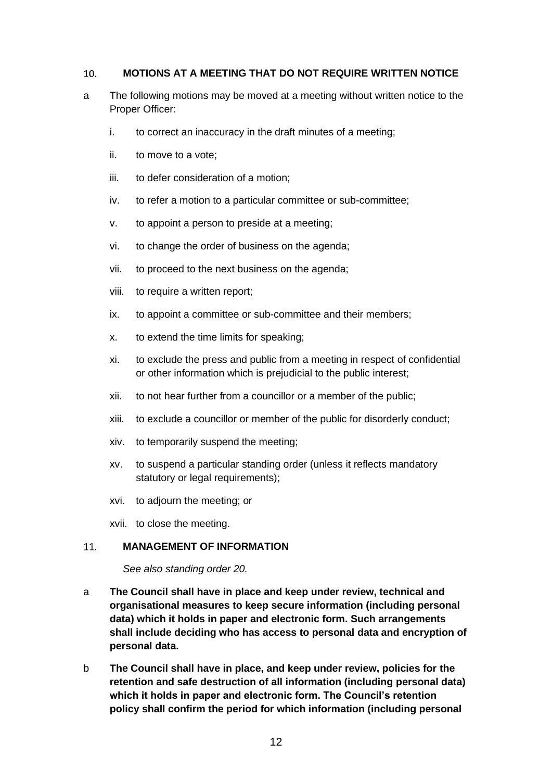#### <span id="page-11-0"></span>**MOTIONS AT A MEETING THAT DO NOT REQUIRE WRITTEN NOTICE**   $10.$

- a The following motions may be moved at a meeting without written notice to the Proper Officer:
	- i. to correct an inaccuracy in the draft minutes of a meeting;
	- ii. to move to a vote;
	- iii. to defer consideration of a motion;
	- iv. to refer a motion to a particular committee or sub-committee:
	- v. to appoint a person to preside at a meeting;
	- vi. to change the order of business on the agenda;
	- vii. to proceed to the next business on the agenda;
	- viii. to require a written report;
	- ix. to appoint a committee or sub-committee and their members;
	- x. to extend the time limits for speaking;
	- xi. to exclude the press and public from a meeting in respect of confidential or other information which is prejudicial to the public interest;
	- xii. to not hear further from a councillor or a member of the public;
	- xiii. to exclude a councillor or member of the public for disorderly conduct;
	- xiv. to temporarily suspend the meeting;
	- xv. to suspend a particular standing order (unless it reflects mandatory statutory or legal requirements);
	- xvi. to adjourn the meeting; or

xvii. to close the meeting.

#### <span id="page-11-1"></span>**MANAGEMENT OF INFORMATION**   $11.$

*See also standing order 20.*

- a **The Council shall have in place and keep under review, technical and organisational measures to keep secure information (including personal data) which it holds in paper and electronic form. Such arrangements shall include deciding who has access to personal data and encryption of personal data.**
- b **The Council shall have in place, and keep under review, policies for the retention and safe destruction of all information (including personal data) which it holds in paper and electronic form. The Council's retention policy shall confirm the period for which information (including personal**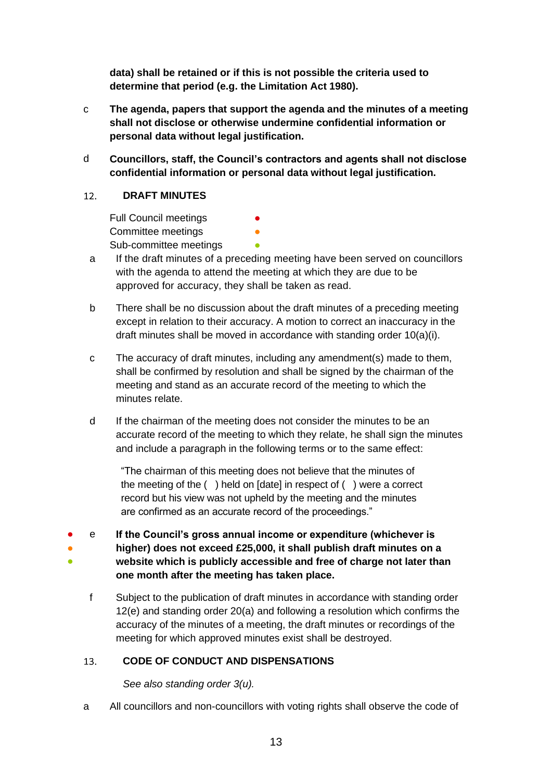**data) shall be retained or if this is not possible the criteria used to determine that period (e.g. the Limitation Act 1980).**

- c **The agenda, papers that support the agenda and the minutes of a meeting shall not disclose or otherwise undermine confidential information or personal data without legal justification.**
- d **Councillors, staff, the Council's contractors and agents shall not disclose confidential information or personal data without legal justification.**

#### <span id="page-12-0"></span> $12.$ **DRAFT MINUTES**

Full Council meetings Committee meetings **•** Sub-committee meetings

- a If the draft minutes of a preceding meeting have been served on councillors with the agenda to attend the meeting at which they are due to be approved for accuracy, they shall be taken as read.
- b There shall be no discussion about the draft minutes of a preceding meeting except in relation to their accuracy. A motion to correct an inaccuracy in the draft minutes shall be moved in accordance with standing order 10(a)(i).
- c The accuracy of draft minutes, including any amendment(s) made to them, shall be confirmed by resolution and shall be signed by the chairman of the meeting and stand as an accurate record of the meeting to which the minutes relate.
- d If the chairman of the meeting does not consider the minutes to be an accurate record of the meeting to which they relate, he shall sign the minutes and include a paragraph in the following terms or to the same effect:

"The chairman of this meeting does not believe that the minutes of the meeting of the ( ) held on [date] in respect of ( ) were a correct record but his view was not upheld by the meeting and the minutes are confirmed as an accurate record of the proceedings."

- ● ● e **If the Council's gross annual income or expenditure (whichever is higher) does not exceed £25,000, it shall publish draft minutes on a website which is publicly accessible and free of charge not later than one month after the meeting has taken place.**
	- f Subject to the publication of draft minutes in accordance with standing order 12(e) and standing order 20(a) and following a resolution which confirms the accuracy of the minutes of a meeting, the draft minutes or recordings of the meeting for which approved minutes exist shall be destroyed.

#### <span id="page-12-1"></span> $13<sub>1</sub>$ **CODE OF CONDUCT AND DISPENSATIONS**

*See also standing order 3(u).*

a All councillors and non-councillors with voting rights shall observe the code of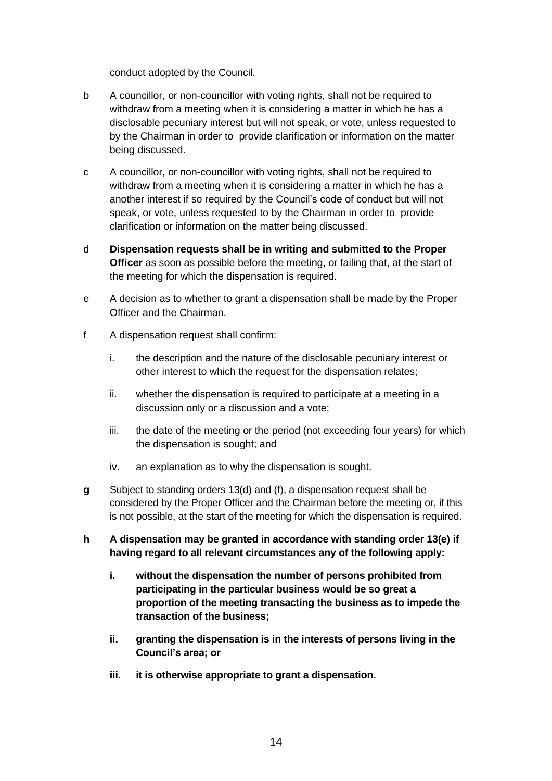conduct adopted by the Council.

- b A councillor, or non-councillor with voting rights, shall not be required to withdraw from a meeting when it is considering a matter in which he has a disclosable pecuniary interest but will not speak, or vote, unless requested to by the Chairman in order to provide clarification or information on the matter being discussed.
- c A councillor, or non-councillor with voting rights, shall not be required to withdraw from a meeting when it is considering a matter in which he has a another interest if so required by the Council's code of conduct but will not speak, or vote, unless requested to by the Chairman in order to provide clarification or information on the matter being discussed.
- d **Dispensation requests shall be in writing and submitted to the Proper Officer** as soon as possible before the meeting, or failing that, at the start of the meeting for which the dispensation is required.
- e A decision as to whether to grant a dispensation shall be made by the Proper Officer and the Chairman.
- f A dispensation request shall confirm:
	- i. the description and the nature of the disclosable pecuniary interest or other interest to which the request for the dispensation relates;
	- ii. whether the dispensation is required to participate at a meeting in a discussion only or a discussion and a vote;
	- iii. the date of the meeting or the period (not exceeding four years) for which the dispensation is sought; and
	- iv. an explanation as to why the dispensation is sought.
- **g** Subject to standing orders 13(d) and (f), a dispensation request shall be considered by the Proper Officer and the Chairman before the meeting or, if this is not possible, at the start of the meeting for which the dispensation is required.
- **h A dispensation may be granted in accordance with standing order 13(e) if having regard to all relevant circumstances any of the following apply:**
	- **i. without the dispensation the number of persons prohibited from participating in the particular business would be so great a proportion of the meeting transacting the business as to impede the transaction of the business;**
	- **ii. granting the dispensation is in the interests of persons living in the Council's area; or**
	- **iii. it is otherwise appropriate to grant a dispensation.**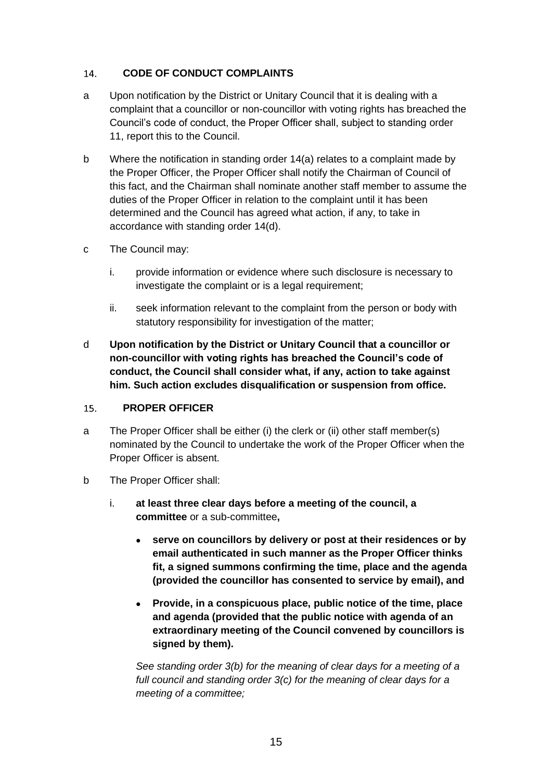#### <span id="page-14-0"></span>14. **CODE OF CONDUCT COMPLAINTS**

- a Upon notification by the District or Unitary Council that it is dealing with a complaint that a councillor or non-councillor with voting rights has breached the Council's code of conduct, the Proper Officer shall, subject to standing order 11, report this to the Council.
- b Where the notification in standing order 14(a) relates to a complaint made by the Proper Officer, the Proper Officer shall notify the Chairman of Council of this fact, and the Chairman shall nominate another staff member to assume the duties of the Proper Officer in relation to the complaint until it has been determined and the Council has agreed what action, if any, to take in accordance with standing order 14(d).
- c The Council may:
	- i. provide information or evidence where such disclosure is necessary to investigate the complaint or is a legal requirement;
	- ii. seek information relevant to the complaint from the person or body with statutory responsibility for investigation of the matter;
- d **Upon notification by the District or Unitary Council that a councillor or non-councillor with voting rights has breached the Council's code of conduct, the Council shall consider what, if any, action to take against him. Such action excludes disqualification or suspension from office.**

#### <span id="page-14-1"></span>15. **PROPER OFFICER**

- a The Proper Officer shall be either (i) the clerk or (ii) other staff member(s) nominated by the Council to undertake the work of the Proper Officer when the Proper Officer is absent.
- b The Proper Officer shall:
	- i. **at least three clear days before a meeting of the council, a committee** or a sub-committee**,**
		- **serve on councillors by delivery or post at their residences or by email authenticated in such manner as the Proper Officer thinks fit, a signed summons confirming the time, place and the agenda (provided the councillor has consented to service by email), and**
		- **Provide, in a conspicuous place, public notice of the time, place and agenda (provided that the public notice with agenda of an extraordinary meeting of the Council convened by councillors is signed by them).**

*See standing order 3(b) for the meaning of clear days for a meeting of a full council and standing order 3(c) for the meaning of clear days for a meeting of a committee;*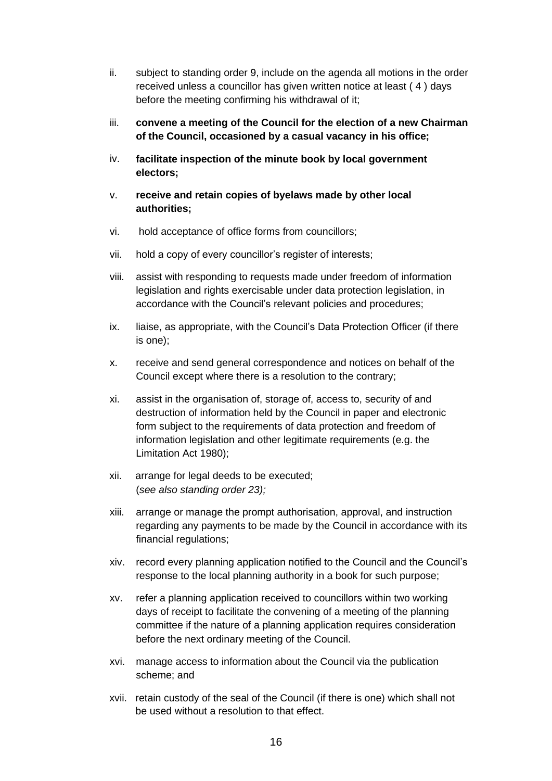- ii. subject to standing order 9, include on the agenda all motions in the order received unless a councillor has given written notice at least ( 4 ) days before the meeting confirming his withdrawal of it;
- iii. **convene a meeting of the Council for the election of a new Chairman of the Council, occasioned by a casual vacancy in his office;**
- iv. **facilitate inspection of the minute book by local government electors;**
- v. **receive and retain copies of byelaws made by other local authorities;**
- vi. hold acceptance of office forms from councillors;
- vii. hold a copy of every councillor's register of interests;
- viii. assist with responding to requests made under freedom of information legislation and rights exercisable under data protection legislation, in accordance with the Council's relevant policies and procedures;
- ix. liaise, as appropriate, with the Council's Data Protection Officer (if there is one);
- x. receive and send general correspondence and notices on behalf of the Council except where there is a resolution to the contrary;
- xi. assist in the organisation of, storage of, access to, security of and destruction of information held by the Council in paper and electronic form subject to the requirements of data protection and freedom of information legislation and other legitimate requirements (e.g. the Limitation Act 1980);
- xii. arrange for legal deeds to be executed; (*see also standing order 23);*
- xiii. arrange or manage the prompt authorisation, approval, and instruction regarding any payments to be made by the Council in accordance with its financial regulations;
- xiv. record every planning application notified to the Council and the Council's response to the local planning authority in a book for such purpose;
- xv. refer a planning application received to councillors within two working days of receipt to facilitate the convening of a meeting of the planning committee if the nature of a planning application requires consideration before the next ordinary meeting of the Council.
- xvi. manage access to information about the Council via the publication scheme; and
- xvii. retain custody of the seal of the Council (if there is one) which shall not be used without a resolution to that effect.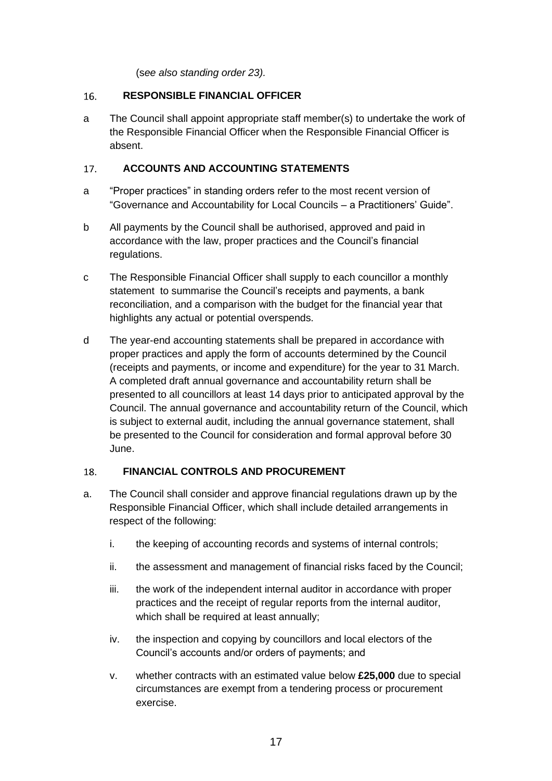(s*ee also standing order 23).*

#### <span id="page-16-0"></span>16. **RESPONSIBLE FINANCIAL OFFICER**

a The Council shall appoint appropriate staff member(s) to undertake the work of the Responsible Financial Officer when the Responsible Financial Officer is absent.

#### <span id="page-16-1"></span> $17<sub>1</sub>$ **ACCOUNTS AND ACCOUNTING STATEMENTS**

- a "Proper practices" in standing orders refer to the most recent version of "Governance and Accountability for Local Councils – a Practitioners' Guide".
- b All payments by the Council shall be authorised, approved and paid in accordance with the law, proper practices and the Council's financial regulations.
- c The Responsible Financial Officer shall supply to each councillor a monthly statement to summarise the Council's receipts and payments, a bank reconciliation, and a comparison with the budget for the financial year that highlights any actual or potential overspends.
- d The year-end accounting statements shall be prepared in accordance with proper practices and apply the form of accounts determined by the Council (receipts and payments, or income and expenditure) for the year to 31 March. A completed draft annual governance and accountability return shall be presented to all councillors at least 14 days prior to anticipated approval by the Council. The annual governance and accountability return of the Council, which is subject to external audit, including the annual governance statement, shall be presented to the Council for consideration and formal approval before 30 June.

#### <span id="page-16-2"></span>**FINANCIAL CONTROLS AND PROCUREMENT** 18.

- a. The Council shall consider and approve financial regulations drawn up by the Responsible Financial Officer, which shall include detailed arrangements in respect of the following:
	- i. the keeping of accounting records and systems of internal controls;
	- ii. the assessment and management of financial risks faced by the Council;
	- iii. the work of the independent internal auditor in accordance with proper practices and the receipt of regular reports from the internal auditor, which shall be required at least annually;
	- iv. the inspection and copying by councillors and local electors of the Council's accounts and/or orders of payments; and
	- v. whether contracts with an estimated value below **£25,000** due to special circumstances are exempt from a tendering process or procurement exercise.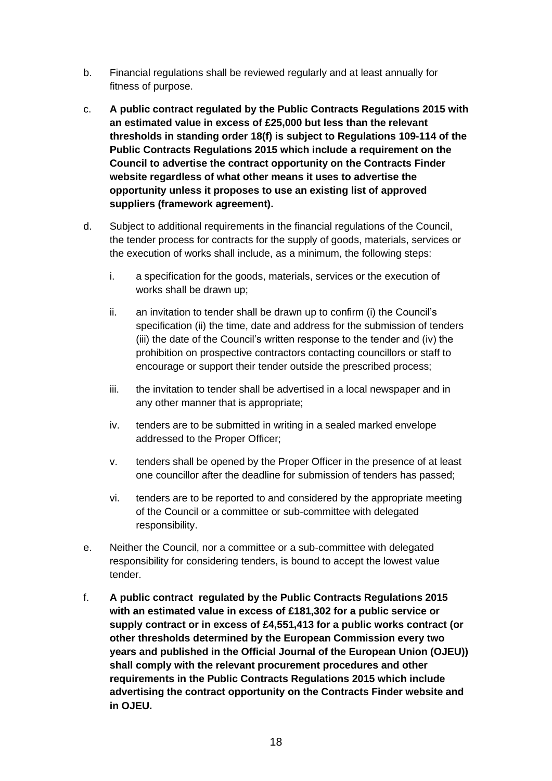- b. Financial regulations shall be reviewed regularly and at least annually for fitness of purpose.
- c. **A public contract regulated by the Public Contracts Regulations 2015 with an estimated value in excess of £25,000 but less than the relevant thresholds in standing order 18(f) is subject to Regulations 109-114 of the Public Contracts Regulations 2015 which include a requirement on the Council to advertise the contract opportunity on the Contracts Finder website regardless of what other means it uses to advertise the opportunity unless it proposes to use an existing list of approved suppliers (framework agreement).**
- d. Subject to additional requirements in the financial regulations of the Council, the tender process for contracts for the supply of goods, materials, services or the execution of works shall include, as a minimum, the following steps:
	- i. a specification for the goods, materials, services or the execution of works shall be drawn up;
	- ii. an invitation to tender shall be drawn up to confirm (i) the Council's specification (ii) the time, date and address for the submission of tenders (iii) the date of the Council's written response to the tender and (iv) the prohibition on prospective contractors contacting councillors or staff to encourage or support their tender outside the prescribed process;
	- iii. the invitation to tender shall be advertised in a local newspaper and in any other manner that is appropriate;
	- iv. tenders are to be submitted in writing in a sealed marked envelope addressed to the Proper Officer;
	- v. tenders shall be opened by the Proper Officer in the presence of at least one councillor after the deadline for submission of tenders has passed;
	- vi. tenders are to be reported to and considered by the appropriate meeting of the Council or a committee or sub-committee with delegated responsibility.
- e. Neither the Council, nor a committee or a sub-committee with delegated responsibility for considering tenders, is bound to accept the lowest value tender.
- f. **A public contract regulated by the Public Contracts Regulations 2015 with an estimated value in excess of £181,302 for a public service or supply contract or in excess of £4,551,413 for a public works contract (or other thresholds determined by the European Commission every two years and published in the Official Journal of the European Union (OJEU)) shall comply with the relevant procurement procedures and other requirements in the Public Contracts Regulations 2015 which include advertising the contract opportunity on the Contracts Finder website and in OJEU.**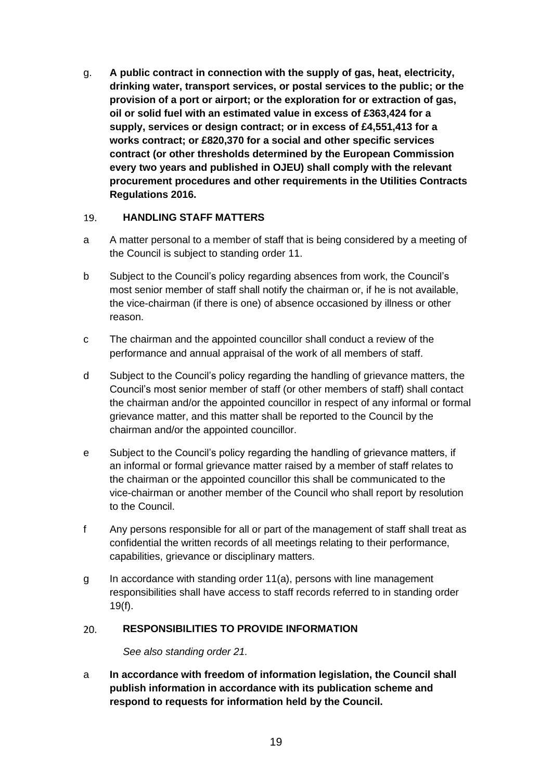g. **A public contract in connection with the supply of gas, heat, electricity, drinking water, transport services, or postal services to the public; or the provision of a port or airport; or the exploration for or extraction of gas, oil or solid fuel with an estimated value in excess of £363,424 for a supply, services or design contract; or in excess of £4,551,413 for a works contract; or £820,370 for a social and other specific services contract (or other thresholds determined by the European Commission every two years and published in OJEU) shall comply with the relevant procurement procedures and other requirements in the Utilities Contracts Regulations 2016.**

#### <span id="page-18-0"></span> $19.$ **HANDLING STAFF MATTERS**

- a A matter personal to a member of staff that is being considered by a meeting of the Council is subject to standing order 11.
- b Subject to the Council's policy regarding absences from work, the Council's most senior member of staff shall notify the chairman or, if he is not available, the vice-chairman (if there is one) of absence occasioned by illness or other reason.
- c The chairman and the appointed councillor shall conduct a review of the performance and annual appraisal of the work of all members of staff.
- d Subject to the Council's policy regarding the handling of grievance matters, the Council's most senior member of staff (or other members of staff) shall contact the chairman and/or the appointed councillor in respect of any informal or formal grievance matter, and this matter shall be reported to the Council by the chairman and/or the appointed councillor.
- e Subject to the Council's policy regarding the handling of grievance matters, if an informal or formal grievance matter raised by a member of staff relates to the chairman or the appointed councillor this shall be communicated to the vice-chairman or another member of the Council who shall report by resolution to the Council.
- f Any persons responsible for all or part of the management of staff shall treat as confidential the written records of all meetings relating to their performance, capabilities, grievance or disciplinary matters.
- g In accordance with standing order 11(a), persons with line management responsibilities shall have access to staff records referred to in standing order 19(f).

#### <span id="page-18-1"></span> $20.$ **RESPONSIBILITIES TO PROVIDE INFORMATION**

*See also standing order 21.*

a **In accordance with freedom of information legislation, the Council shall publish information in accordance with its publication scheme and respond to requests for information held by the Council.**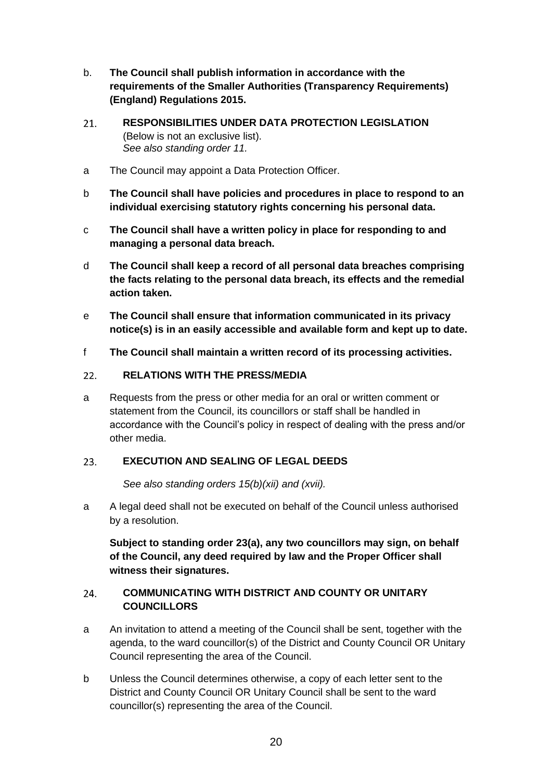- b. **The Council shall publish information in accordance with the requirements of the Smaller Authorities (Transparency Requirements) (England) Regulations 2015.**
- <span id="page-19-0"></span> $21<sub>1</sub>$ **RESPONSIBILITIES UNDER DATA PROTECTION LEGISLATION**  (Below is not an exclusive list). *See also standing order 11.*
- a The Council may appoint a Data Protection Officer.
- b **The Council shall have policies and procedures in place to respond to an individual exercising statutory rights concerning his personal data.**
- c **The Council shall have a written policy in place for responding to and managing a personal data breach.**
- d **The Council shall keep a record of all personal data breaches comprising the facts relating to the personal data breach, its effects and the remedial action taken.**
- e **The Council shall ensure that information communicated in its privacy notice(s) is in an easily accessible and available form and kept up to date.**
- f **The Council shall maintain a written record of its processing activities.**

#### <span id="page-19-1"></span>**RELATIONS WITH THE PRESS/MEDIA**  $22<sub>1</sub>$

a Requests from the press or other media for an oral or written comment or statement from the Council, its councillors or staff shall be handled in accordance with the Council's policy in respect of dealing with the press and/or other media.

#### <span id="page-19-2"></span>23. **EXECUTION AND SEALING OF LEGAL DEEDS**

*See also standing orders 15(b)(xii) and (xvii).*

a A legal deed shall not be executed on behalf of the Council unless authorised by a resolution.

**Subject to standing order 23(a), any two councillors may sign, on behalf of the Council, any deed required by law and the Proper Officer shall witness their signatures.** 

#### <span id="page-19-3"></span>**COMMUNICATING WITH DISTRICT AND COUNTY OR UNITARY**  24. **COUNCILLORS**

- a An invitation to attend a meeting of the Council shall be sent, together with the agenda, to the ward councillor(s) of the District and County Council OR Unitary Council representing the area of the Council.
- b Unless the Council determines otherwise, a copy of each letter sent to the District and County Council OR Unitary Council shall be sent to the ward councillor(s) representing the area of the Council.